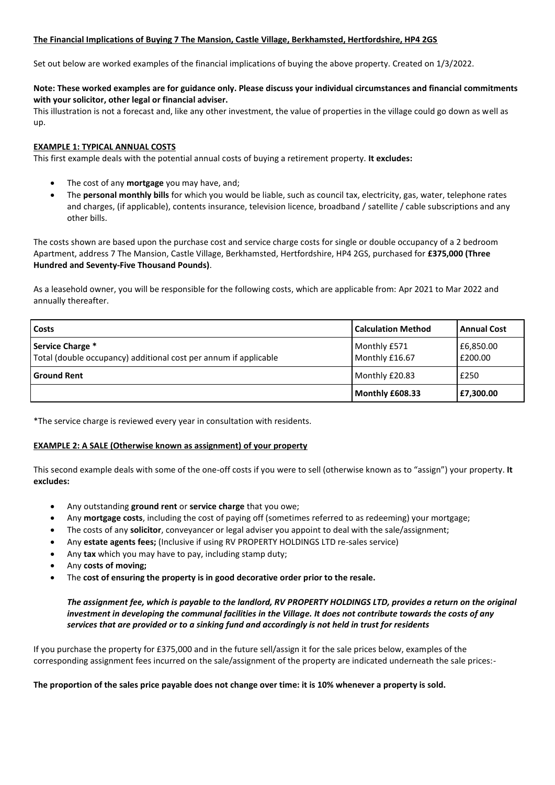## **The Financial Implications of Buying 7 The Mansion, Castle Village, Berkhamsted, Hertfordshire, HP4 2GS**

Set out below are worked examples of the financial implications of buying the above property. Created on 1/3/2022.

## **Note: These worked examples are for guidance only. Please discuss your individual circumstances and financial commitments with your solicitor, other legal or financial adviser.**

This illustration is not a forecast and, like any other investment, the value of properties in the village could go down as well as up.

## **EXAMPLE 1: TYPICAL ANNUAL COSTS**

This first example deals with the potential annual costs of buying a retirement property. **It excludes:**

- The cost of any **mortgage** you may have, and;
- The **personal monthly bills** for which you would be liable, such as council tax, electricity, gas, water, telephone rates and charges, (if applicable), contents insurance, television licence, broadband / satellite / cable subscriptions and any other bills.

The costs shown are based upon the purchase cost and service charge costs for single or double occupancy of a 2 bedroom Apartment, address 7 The Mansion, Castle Village, Berkhamsted, Hertfordshire, HP4 2GS, purchased for **£375,000 (Three Hundred and Seventy-Five Thousand Pounds)**.

As a leasehold owner, you will be responsible for the following costs, which are applicable from: Apr 2021 to Mar 2022 and annually thereafter.

| <b>Costs</b>                                                                         | <b>Calculation Method</b>      | <b>Annual Cost</b>   |
|--------------------------------------------------------------------------------------|--------------------------------|----------------------|
| Service Charge *<br>Total (double occupancy) additional cost per annum if applicable | Monthly £571<br>Monthly £16.67 | £6,850.00<br>£200.00 |
| <b>Ground Rent</b>                                                                   | Monthly £20.83                 | £250                 |
|                                                                                      | Monthly £608.33                | £7,300.00            |

\*The service charge is reviewed every year in consultation with residents.

## **EXAMPLE 2: A SALE (Otherwise known as assignment) of your property**

This second example deals with some of the one-off costs if you were to sell (otherwise known as to "assign") your property. **It excludes:**

- Any outstanding **ground rent** or **service charge** that you owe;
- Any **mortgage costs**, including the cost of paying off (sometimes referred to as redeeming) your mortgage;
- The costs of any **solicitor**, conveyancer or legal adviser you appoint to deal with the sale/assignment;
- Any **estate agents fees;** (Inclusive if using RV PROPERTY HOLDINGS LTD re-sales service)
- Any **tax** which you may have to pay, including stamp duty;
- Any **costs of moving;**
- The **cost of ensuring the property is in good decorative order prior to the resale.**

# *The assignment fee, which is payable to the landlord, RV PROPERTY HOLDINGS LTD, provides a return on the original investment in developing the communal facilities in the Village. It does not contribute towards the costs of any services that are provided or to a sinking fund and accordingly is not held in trust for residents*

If you purchase the property for £375,000 and in the future sell/assign it for the sale prices below, examples of the corresponding assignment fees incurred on the sale/assignment of the property are indicated underneath the sale prices:-

## **The proportion of the sales price payable does not change over time: it is 10% whenever a property is sold.**